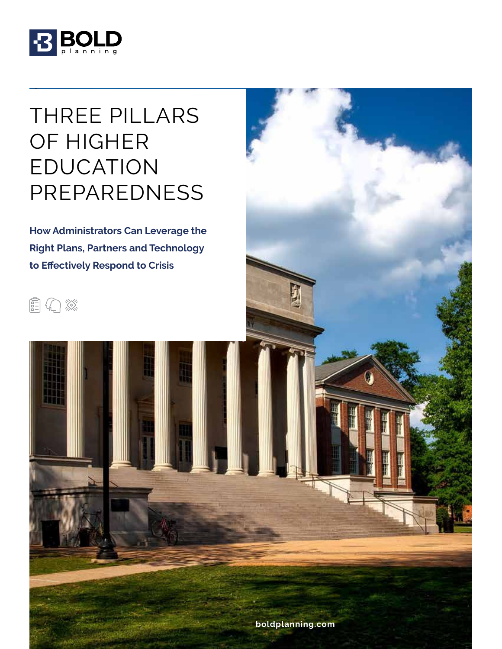

# THREE PILLARS OF HIGHER EDUCATION PREPAREDNESS

**How Administrators Can Leverage the Right Plans, Partners and Technology to Effectively Respond to Crisis**





**boldplanning.com**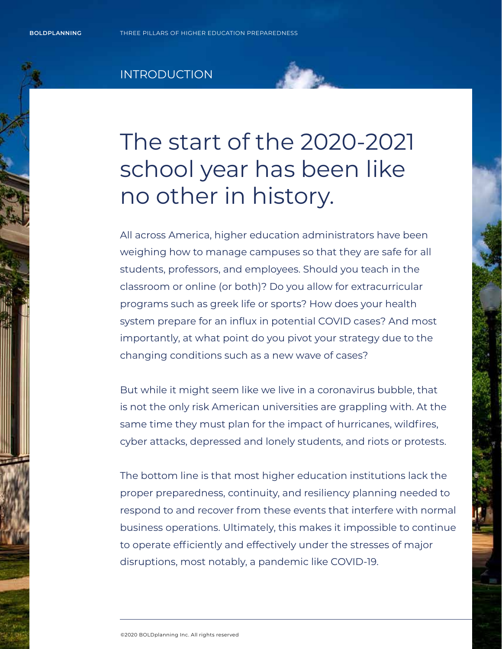### INTRODUCTION

# The start of the 2020-2021 school year has been like no other in history.

All across America, higher education administrators have been weighing how to manage campuses so that they are safe for all students, professors, and employees. Should you teach in the classroom or online (or both)? Do you allow for extracurricular programs such as greek life or sports? How does your health system prepare for an influx in potential COVID cases? And most importantly, at what point do you pivot your strategy due to the changing conditions such as a new wave of cases?

But while it might seem like we live in a coronavirus bubble, that is not the only risk American universities are grappling with. At the same time they must plan for the impact of hurricanes, wildfires, cyber attacks, depressed and lonely students, and riots or protests.

The bottom line is that most higher education institutions lack the proper preparedness, continuity, and resiliency planning needed to respond to and recover from these events that interfere with normal business operations. Ultimately, this makes it impossible to continue to operate efficiently and effectively under the stresses of major disruptions, most notably, a pandemic like COVID-19.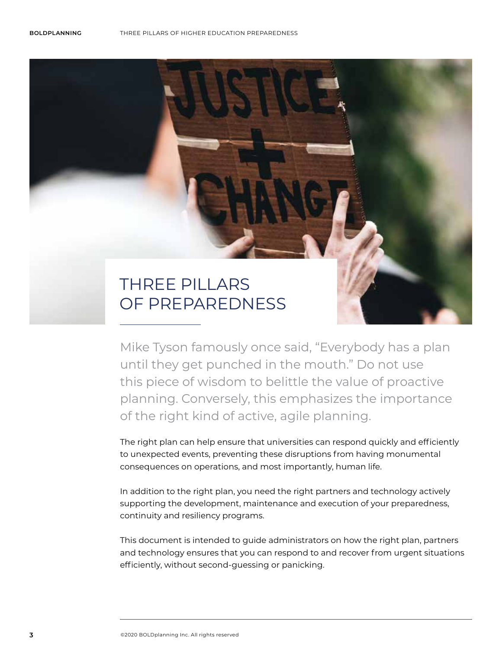# THREE PILLARS OF PREPAREDNESS

Mike Tyson famously once said, "Everybody has a plan until they get punched in the mouth." Do not use this piece of wisdom to belittle the value of proactive planning. Conversely, this emphasizes the importance of the right kind of active, agile planning.

The right plan can help ensure that universities can respond quickly and efficiently to unexpected events, preventing these disruptions from having monumental consequences on operations, and most importantly, human life.

In addition to the right plan, you need the right partners and technology actively supporting the development, maintenance and execution of your preparedness, continuity and resiliency programs.

This document is intended to guide administrators on how the right plan, partners and technology ensures that you can respond to and recover from urgent situations efficiently, without second-guessing or panicking.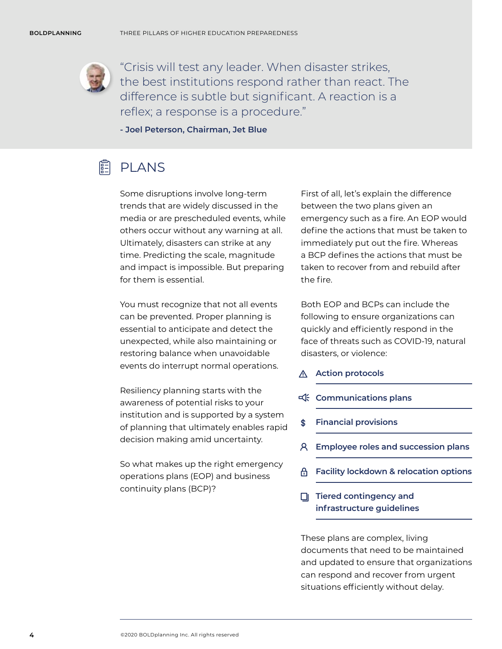

"Crisis will test any leader. When disaster strikes, the best institutions respond rather than react. The difference is subtle but significant. A reaction is a reflex; a response is a procedure."

**- Joel Peterson, Chairman, Jet Blue**

#### 同 PLANS

Some disruptions involve long-term trends that are widely discussed in the media or are prescheduled events, while others occur without any warning at all. Ultimately, disasters can strike at any time. Predicting the scale, magnitude and impact is impossible. But preparing for them is essential.

You must recognize that not all events can be prevented. Proper planning is essential to anticipate and detect the unexpected, while also maintaining or restoring balance when unavoidable events do interrupt normal operations.

Resiliency planning starts with the awareness of potential risks to your institution and is supported by a system of planning that ultimately enables rapid decision making amid uncertainty.

So what makes up the right emergency operations plans (EOP) and business continuity plans (BCP)?

First of all, let's explain the difference between the two plans given an emergency such as a fire. An EOP would define the actions that must be taken to immediately put out the fire. Whereas a BCP defines the actions that must be taken to recover from and rebuild after the fire.

Both EOP and BCPs can include the following to ensure organizations can quickly and efficiently respond in the face of threats such as COVID-19, natural disasters, or violence:

- **Action protocols**
- **<df>Communications plans**
- \$ **Financial provisions**
- **Employee roles and succession plans**
- **Facility lockdown & relocation options**
- **Tiered contingency and infrastructure guidelines**

These plans are complex, living documents that need to be maintained and updated to ensure that organizations can respond and recover from urgent situations efficiently without delay.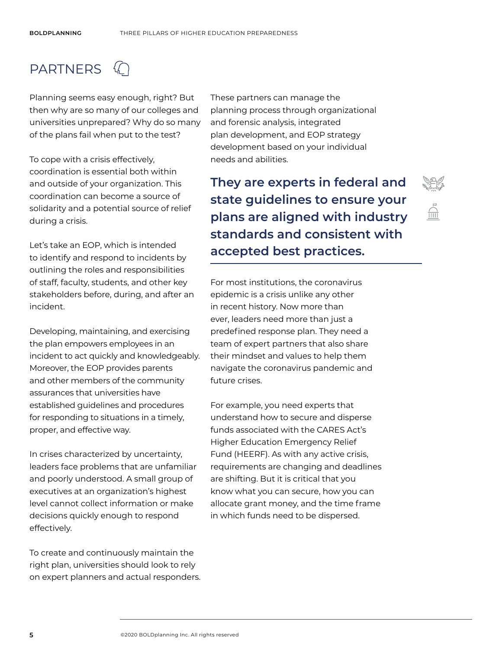## PARTNERS

Planning seems easy enough, right? But then why are so many of our colleges and universities unprepared? Why do so many of the plans fail when put to the test?

To cope with a crisis effectively, coordination is essential both within and outside of your organization. This coordination can become a source of solidarity and a potential source of relief during a crisis.

Let's take an EOP, which is intended to identify and respond to incidents by outlining the roles and responsibilities of staff, faculty, students, and other key stakeholders before, during, and after an incident.

Developing, maintaining, and exercising the plan empowers employees in an incident to act quickly and knowledgeably. Moreover, the EOP provides parents and other members of the community assurances that universities have established guidelines and procedures for responding to situations in a timely, proper, and effective way.

In crises characterized by uncertainty, leaders face problems that are unfamiliar and poorly understood. A small group of executives at an organization's highest level cannot collect information or make decisions quickly enough to respond effectively.

To create and continuously maintain the right plan, universities should look to rely on expert planners and actual responders. These partners can manage the planning process through organizational and forensic analysis, integrated plan development, and EOP strategy development based on your individual needs and abilities.

**They are experts in federal and state guidelines to ensure your plans are aligned with industry standards and consistent with accepted best practices.**

For most institutions, the coronavirus epidemic is a crisis unlike any other in recent history. Now more than ever, leaders need more than just a predefined response plan. They need a team of expert partners that also share their mindset and values to help them navigate the coronavirus pandemic and future crises.

For example, you need experts that understand how to secure and disperse funds associated with the CARES Act's Higher Education Emergency Relief Fund (HEERF). As with any active crisis, requirements are changing and deadlines are shifting. But it is critical that you know what you can secure, how you can allocate grant money, and the time frame in which funds need to be dispersed.

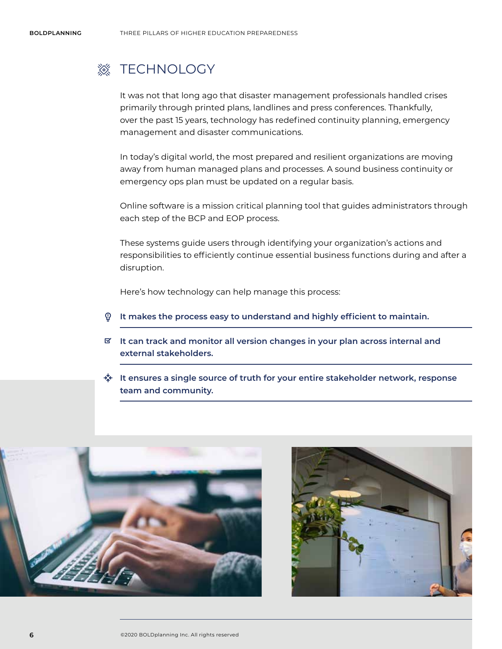## **※ TECHNOLOGY**

It was not that long ago that disaster management professionals handled crises primarily through printed plans, landlines and press conferences. Thankfully, over the past 15 years, technology has redefined continuity planning, emergency management and disaster communications.

In today's digital world, the most prepared and resilient organizations are moving away from human managed plans and processes. A sound business continuity or emergency ops plan must be updated on a regular basis.

Online software is a mission critical planning tool that guides administrators through each step of the BCP and EOP process.

These systems guide users through identifying your organization's actions and responsibilities to efficiently continue essential business functions during and after a disruption.

Here's how technology can help manage this process:

- **It makes the process easy to understand and highly efficient to maintain.**
- **It can track and monitor all version changes in your plan across internal and external stakeholders.**
- **It ensures a single source of truth for your entire stakeholder network, response team and community.**